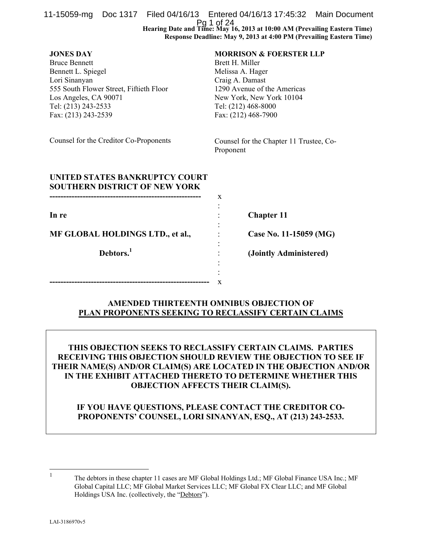| 11-15059-mg Doc 1317 Filed 04/16/13 Entered 04/16/13 17:45:32 Main Document                                                                                                                       |  | Pg 1 of 24<br>Hearing Date and Time: May 16, 2013 at 10:00 AM (Prevailing Eastern Time)<br>Response Deadline: May 9, 2013 at 4:00 PM (Prevailing Eastern Time)                                        |  |  |  |  |
|---------------------------------------------------------------------------------------------------------------------------------------------------------------------------------------------------|--|-------------------------------------------------------------------------------------------------------------------------------------------------------------------------------------------------------|--|--|--|--|
| <b>JONES DAY</b><br><b>Bruce Bennett</b><br>Bennett L. Spiegel<br>Lori Sinanyan<br>555 South Flower Street, Fiftieth Floor<br>Los Angeles, CA 90071<br>Tel: (213) 243-2533<br>Fax: (213) 243-2539 |  | <b>MORRISON &amp; FOERSTER LLP</b><br>Brett H. Miller<br>Melissa A. Hager<br>Craig A. Damast<br>1290 Avenue of the Americas<br>New York, New York 10104<br>Tel: (212) 468-8000<br>Fax: (212) 468-7900 |  |  |  |  |
| Counsel for the Creditor Co-Proponents                                                                                                                                                            |  | Counsel for the Chapter 11 Trustee, Co-<br>Proponent                                                                                                                                                  |  |  |  |  |
| UNITED STATES BANKRUPTCY COURT<br><b>SOUTHERN DISTRICT OF NEW YORK</b>                                                                                                                            |  | X                                                                                                                                                                                                     |  |  |  |  |
| In re                                                                                                                                                                                             |  | <b>Chapter 11</b>                                                                                                                                                                                     |  |  |  |  |
| MF GLOBAL HOLDINGS LTD., et al.,                                                                                                                                                                  |  | Case No. 11-15059 (MG)                                                                                                                                                                                |  |  |  |  |
| Debtors. <sup>1</sup>                                                                                                                                                                             |  | (Jointly Administered)                                                                                                                                                                                |  |  |  |  |
|                                                                                                                                                                                                   |  | X                                                                                                                                                                                                     |  |  |  |  |

## **AMENDED THIRTEENTH OMNIBUS OBJECTION OF PLAN PROPONENTS SEEKING TO RECLASSIFY CERTAIN CLAIMS**

**THIS OBJECTION SEEKS TO RECLASSIFY CERTAIN CLAIMS. PARTIES RECEIVING THIS OBJECTION SHOULD REVIEW THE OBJECTION TO SEE IF THEIR NAME(S) AND/OR CLAIM(S) ARE LOCATED IN THE OBJECTION AND/OR IN THE EXHIBIT ATTACHED THERETO TO DETERMINE WHETHER THIS OBJECTION AFFECTS THEIR CLAIM(S).** 

# **IF YOU HAVE QUESTIONS, PLEASE CONTACT THE CREDITOR CO-PROPONENTS' COUNSEL, LORI SINANYAN, ESQ., AT (213) 243-2533.**

 $\frac{1}{1}$  The debtors in these chapter 11 cases are MF Global Holdings Ltd.; MF Global Finance USA Inc.; MF Global Capital LLC; MF Global Market Services LLC; MF Global FX Clear LLC; and MF Global Holdings USA Inc. (collectively, the "Debtors").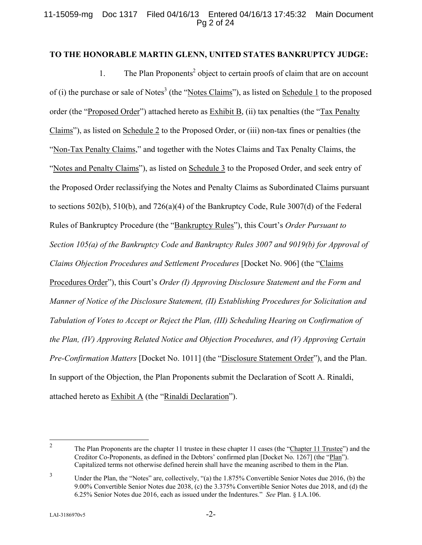## 11-15059-mg Doc 1317 Filed 04/16/13 Entered 04/16/13 17:45:32 Main Document Pg 2 of 24

#### **TO THE HONORABLE MARTIN GLENN, UNITED STATES BANKRUPTCY JUDGE:**

1. The Plan Proponents<sup>2</sup> object to certain proofs of claim that are on account of (i) the purchase or sale of Notes<sup>3</sup> (the "Notes Claims"), as listed on Schedule 1 to the proposed order (the "Proposed Order") attached hereto as Exhibit B, (ii) tax penalties (the "Tax Penalty Claims"), as listed on Schedule 2 to the Proposed Order, or (iii) non-tax fines or penalties (the "Non-Tax Penalty Claims," and together with the Notes Claims and Tax Penalty Claims, the "Notes and Penalty Claims"), as listed on Schedule 3 to the Proposed Order, and seek entry of the Proposed Order reclassifying the Notes and Penalty Claims as Subordinated Claims pursuant to sections 502(b), 510(b), and 726(a)(4) of the Bankruptcy Code, Rule 3007(d) of the Federal Rules of Bankruptcy Procedure (the "Bankruptcy Rules"), this Court's *Order Pursuant to Section 105(a) of the Bankruptcy Code and Bankruptcy Rules 3007 and 9019(b) for Approval of Claims Objection Procedures and Settlement Procedures* [Docket No. 906] (the "Claims Procedures Order"), this Court's *Order (I) Approving Disclosure Statement and the Form and Manner of Notice of the Disclosure Statement, (II) Establishing Procedures for Solicitation and Tabulation of Votes to Accept or Reject the Plan, (III) Scheduling Hearing on Confirmation of the Plan, (IV) Approving Related Notice and Objection Procedures, and (V) Approving Certain Pre-Confirmation Matters* [Docket No. 1011] (the "Disclosure Statement Order"), and the Plan. In support of the Objection, the Plan Proponents submit the Declaration of Scott A. Rinaldi, attached hereto as Exhibit A (the "Rinaldi Declaration").

 $\frac{1}{2}$  The Plan Proponents are the chapter 11 trustee in these chapter 11 cases (the "Chapter 11 Trustee") and the Creditor Co-Proponents, as defined in the Debtors' confirmed plan [Docket No. 1267] (the "Plan"). Capitalized terms not otherwise defined herein shall have the meaning ascribed to them in the Plan.

<sup>3</sup> Under the Plan, the "Notes" are, collectively, "(a) the 1.875% Convertible Senior Notes due 2016, (b) the 9.00% Convertible Senior Notes due 2038, (c) the 3.375% Convertible Senior Notes due 2018, and (d) the 6.25% Senior Notes due 2016, each as issued under the Indentures." *See* Plan. § I.A.106.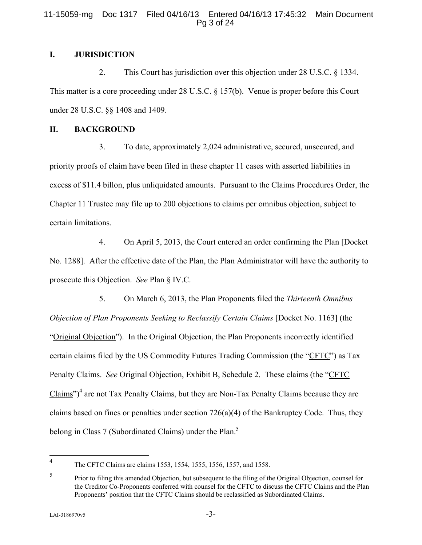#### 11-15059-mg Doc 1317 Filed 04/16/13 Entered 04/16/13 17:45:32 Main Document Pg 3 of 24

## **I. JURISDICTION**

2. This Court has jurisdiction over this objection under 28 U.S.C. § 1334. This matter is a core proceeding under 28 U.S.C. § 157(b). Venue is proper before this Court under 28 U.S.C. §§ 1408 and 1409.

#### **II. BACKGROUND**

3. To date, approximately 2,024 administrative, secured, unsecured, and priority proofs of claim have been filed in these chapter 11 cases with asserted liabilities in excess of \$11.4 billon, plus unliquidated amounts. Pursuant to the Claims Procedures Order, the Chapter 11 Trustee may file up to 200 objections to claims per omnibus objection, subject to certain limitations.

4. On April 5, 2013, the Court entered an order confirming the Plan [Docket No. 1288]. After the effective date of the Plan, the Plan Administrator will have the authority to prosecute this Objection. *See* Plan § IV.C.

5. On March 6, 2013, the Plan Proponents filed the *Thirteenth Omnibus Objection of Plan Proponents Seeking to Reclassify Certain Claims* [Docket No. 1163] (the "Original Objection"). In the Original Objection, the Plan Proponents incorrectly identified certain claims filed by the US Commodity Futures Trading Commission (the "CFTC") as Tax Penalty Claims. *See* Original Objection, Exhibit B, Schedule 2. These claims (the "CFTC  $Clains$ <sup>")4</sup> are not Tax Penalty Claims, but they are Non-Tax Penalty Claims because they are claims based on fines or penalties under section 726(a)(4) of the Bankruptcy Code. Thus, they belong in Class 7 (Subordinated Claims) under the Plan.<sup>5</sup>

 $\frac{1}{4}$ 

The CFTC Claims are claims 1553, 1554, 1555, 1556, 1557, and 1558.

<sup>5</sup> Prior to filing this amended Objection, but subsequent to the filing of the Original Objection, counsel for the Creditor Co-Proponents conferred with counsel for the CFTC to discuss the CFTC Claims and the Plan Proponents' position that the CFTC Claims should be reclassified as Subordinated Claims.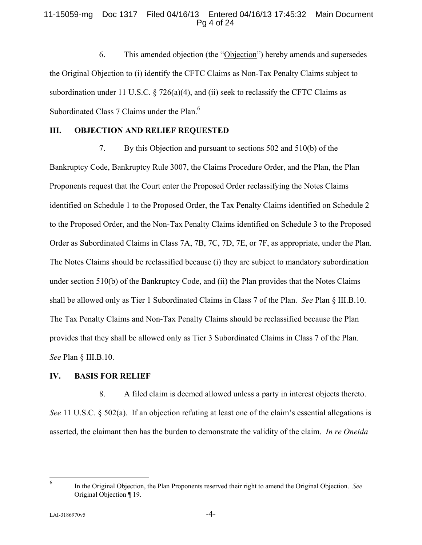#### 11-15059-mg Doc 1317 Filed 04/16/13 Entered 04/16/13 17:45:32 Main Document Pg 4 of 24

6. This amended objection (the "Objection") hereby amends and supersedes the Original Objection to (i) identify the CFTC Claims as Non-Tax Penalty Claims subject to subordination under 11 U.S.C.  $\frac{8}{26(a)(4)}$ , and (ii) seek to reclassify the CFTC Claims as Subordinated Class 7 Claims under the Plan.<sup>6</sup>

## **III. OBJECTION AND RELIEF REQUESTED**

7. By this Objection and pursuant to sections 502 and 510(b) of the Bankruptcy Code, Bankruptcy Rule 3007, the Claims Procedure Order, and the Plan, the Plan Proponents request that the Court enter the Proposed Order reclassifying the Notes Claims identified on Schedule 1 to the Proposed Order, the Tax Penalty Claims identified on Schedule 2 to the Proposed Order, and the Non-Tax Penalty Claims identified on Schedule 3 to the Proposed Order as Subordinated Claims in Class 7A, 7B, 7C, 7D, 7E, or 7F, as appropriate, under the Plan. The Notes Claims should be reclassified because (i) they are subject to mandatory subordination under section 510(b) of the Bankruptcy Code, and (ii) the Plan provides that the Notes Claims shall be allowed only as Tier 1 Subordinated Claims in Class 7 of the Plan. *See* Plan § III.B.10. The Tax Penalty Claims and Non-Tax Penalty Claims should be reclassified because the Plan provides that they shall be allowed only as Tier 3 Subordinated Claims in Class 7 of the Plan. *See* Plan § III.B.10.

## **IV. BASIS FOR RELIEF**

8. A filed claim is deemed allowed unless a party in interest objects thereto. *See* 11 U.S.C. § 502(a). If an objection refuting at least one of the claim's essential allegations is asserted, the claimant then has the burden to demonstrate the validity of the claim. *In re Oneida* 

 $\frac{1}{6}$ 

In the Original Objection, the Plan Proponents reserved their right to amend the Original Objection. *See* Original Objection ¶ 19.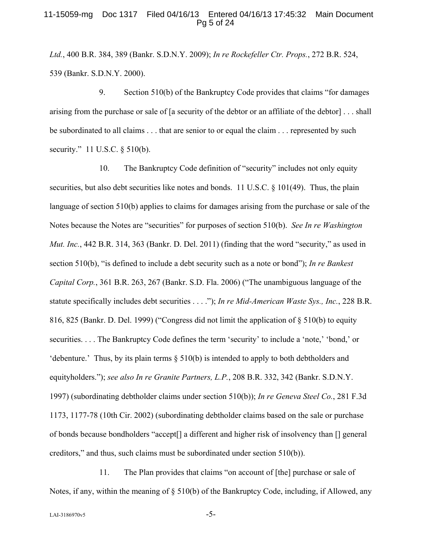#### 11-15059-mg Doc 1317 Filed 04/16/13 Entered 04/16/13 17:45:32 Main Document Pg 5 of 24

*Ltd.*, 400 B.R. 384, 389 (Bankr. S.D.N.Y. 2009); *In re Rockefeller Ctr. Props.*, 272 B.R. 524, 539 (Bankr. S.D.N.Y. 2000).

9. Section 510(b) of the Bankruptcy Code provides that claims "for damages arising from the purchase or sale of [a security of the debtor or an affiliate of the debtor] . . . shall be subordinated to all claims . . . that are senior to or equal the claim . . . represented by such security." 11 U.S.C. § 510(b).

10. The Bankruptcy Code definition of "security" includes not only equity securities, but also debt securities like notes and bonds. 11 U.S.C. § 101(49). Thus, the plain language of section 510(b) applies to claims for damages arising from the purchase or sale of the Notes because the Notes are "securities" for purposes of section 510(b). *See In re Washington Mut. Inc.*, 442 B.R. 314, 363 (Bankr. D. Del. 2011) (finding that the word "security," as used in section 510(b), "is defined to include a debt security such as a note or bond"); *In re Bankest Capital Corp.*, 361 B.R. 263, 267 (Bankr. S.D. Fla. 2006) ("The unambiguous language of the statute specifically includes debt securities . . . ."); *In re Mid-American Waste Sys., Inc.*, 228 B.R. 816, 825 (Bankr. D. Del. 1999) ("Congress did not limit the application of § 510(b) to equity securities. . . . The Bankruptcy Code defines the term 'security' to include a 'note,' 'bond,' or 'debenture.' Thus, by its plain terms § 510(b) is intended to apply to both debtholders and equityholders."); *see also In re Granite Partners, L.P.*, 208 B.R. 332, 342 (Bankr. S.D.N.Y. 1997) (subordinating debtholder claims under section 510(b)); *In re Geneva Steel Co.*, 281 F.3d 1173, 1177-78 (10th Cir. 2002) (subordinating debtholder claims based on the sale or purchase of bonds because bondholders "accept[] a different and higher risk of insolvency than [] general creditors," and thus, such claims must be subordinated under section 510(b)).

11. The Plan provides that claims "on account of [the] purchase or sale of Notes, if any, within the meaning of § 510(b) of the Bankruptcy Code, including, if Allowed, any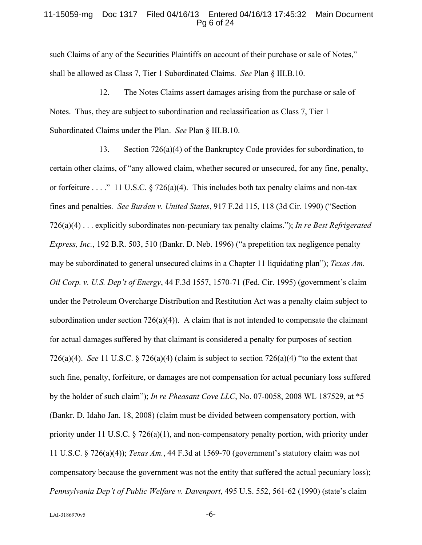#### 11-15059-mg Doc 1317 Filed 04/16/13 Entered 04/16/13 17:45:32 Main Document Pg 6 of 24

such Claims of any of the Securities Plaintiffs on account of their purchase or sale of Notes," shall be allowed as Class 7, Tier 1 Subordinated Claims. *See* Plan § III.B.10.

12. The Notes Claims assert damages arising from the purchase or sale of Notes. Thus, they are subject to subordination and reclassification as Class 7, Tier 1 Subordinated Claims under the Plan. *See* Plan § III.B.10.

13. Section 726(a)(4) of the Bankruptcy Code provides for subordination, to certain other claims, of "any allowed claim, whether secured or unsecured, for any fine, penalty, or forfeiture . . . ." 11 U.S.C. § 726(a)(4). This includes both tax penalty claims and non-tax fines and penalties. *See Burden v. United States*, 917 F.2d 115, 118 (3d Cir. 1990) ("Section 726(a)(4) . . . explicitly subordinates non-pecuniary tax penalty claims."); *In re Best Refrigerated Express, Inc.*, 192 B.R. 503, 510 (Bankr. D. Neb. 1996) ("a prepetition tax negligence penalty may be subordinated to general unsecured claims in a Chapter 11 liquidating plan"); *Texas Am. Oil Corp. v. U.S. Dep't of Energy*, 44 F.3d 1557, 1570-71 (Fed. Cir. 1995) (government's claim under the Petroleum Overcharge Distribution and Restitution Act was a penalty claim subject to subordination under section  $726(a)(4)$ . A claim that is not intended to compensate the claimant for actual damages suffered by that claimant is considered a penalty for purposes of section 726(a)(4). *See* 11 U.S.C. § 726(a)(4) (claim is subject to section 726(a)(4) "to the extent that such fine, penalty, forfeiture, or damages are not compensation for actual pecuniary loss suffered by the holder of such claim"); *In re Pheasant Cove LLC*, No. 07-0058, 2008 WL 187529, at \*5 (Bankr. D. Idaho Jan. 18, 2008) (claim must be divided between compensatory portion, with priority under 11 U.S.C.  $\S 726(a)(1)$ , and non-compensatory penalty portion, with priority under 11 U.S.C. § 726(a)(4)); *Texas Am.*, 44 F.3d at 1569-70 (government's statutory claim was not compensatory because the government was not the entity that suffered the actual pecuniary loss); *Pennsylvania Dep't of Public Welfare v. Davenport*, 495 U.S. 552, 561-62 (1990) (state's claim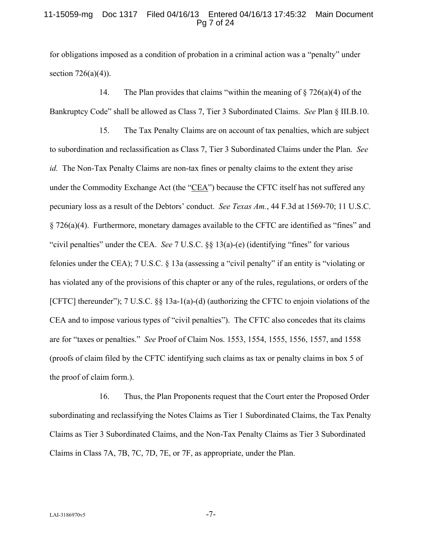#### 11-15059-mg Doc 1317 Filed 04/16/13 Entered 04/16/13 17:45:32 Main Document Pg 7 of 24

for obligations imposed as a condition of probation in a criminal action was a "penalty" under section  $726(a)(4)$ ).

14. The Plan provides that claims "within the meaning of § 726(a)(4) of the Bankruptcy Code" shall be allowed as Class 7, Tier 3 Subordinated Claims. *See* Plan § III.B.10.

15. The Tax Penalty Claims are on account of tax penalties, which are subject to subordination and reclassification as Class 7, Tier 3 Subordinated Claims under the Plan. *See id.* The Non-Tax Penalty Claims are non-tax fines or penalty claims to the extent they arise under the Commodity Exchange Act (the "CEA") because the CFTC itself has not suffered any pecuniary loss as a result of the Debtors' conduct. *See Texas Am.*, 44 F.3d at 1569-70; 11 U.S.C. § 726(a)(4). Furthermore, monetary damages available to the CFTC are identified as "fines" and "civil penalties" under the CEA. *See* 7 U.S.C. §§ 13(a)-(e) (identifying "fines" for various felonies under the CEA); 7 U.S.C. § 13a (assessing a "civil penalty" if an entity is "violating or has violated any of the provisions of this chapter or any of the rules, regulations, or orders of the [CFTC] thereunder"); 7 U.S.C. §§ 13a-1(a)-(d) (authorizing the CFTC to enjoin violations of the CEA and to impose various types of "civil penalties"). The CFTC also concedes that its claims are for "taxes or penalties." *See* Proof of Claim Nos. 1553, 1554, 1555, 1556, 1557, and 1558 (proofs of claim filed by the CFTC identifying such claims as tax or penalty claims in box 5 of the proof of claim form.).

16. Thus, the Plan Proponents request that the Court enter the Proposed Order subordinating and reclassifying the Notes Claims as Tier 1 Subordinated Claims, the Tax Penalty Claims as Tier 3 Subordinated Claims, and the Non-Tax Penalty Claims as Tier 3 Subordinated Claims in Class 7A, 7B, 7C, 7D, 7E, or 7F, as appropriate, under the Plan.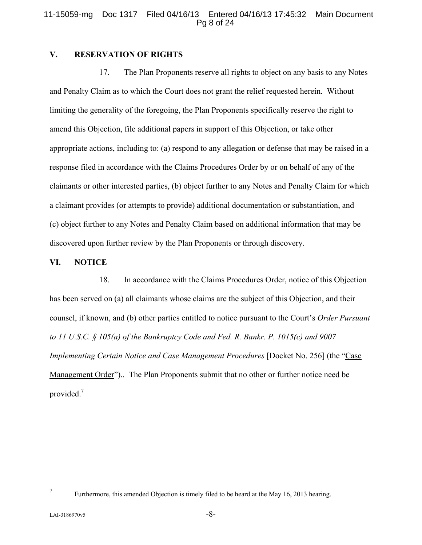#### 11-15059-mg Doc 1317 Filed 04/16/13 Entered 04/16/13 17:45:32 Main Document Pg 8 of 24

### **V. RESERVATION OF RIGHTS**

17. The Plan Proponents reserve all rights to object on any basis to any Notes and Penalty Claim as to which the Court does not grant the relief requested herein. Without limiting the generality of the foregoing, the Plan Proponents specifically reserve the right to amend this Objection, file additional papers in support of this Objection, or take other appropriate actions, including to: (a) respond to any allegation or defense that may be raised in a response filed in accordance with the Claims Procedures Order by or on behalf of any of the claimants or other interested parties, (b) object further to any Notes and Penalty Claim for which a claimant provides (or attempts to provide) additional documentation or substantiation, and (c) object further to any Notes and Penalty Claim based on additional information that may be discovered upon further review by the Plan Proponents or through discovery.

#### **VI. NOTICE**

18. In accordance with the Claims Procedures Order, notice of this Objection has been served on (a) all claimants whose claims are the subject of this Objection, and their counsel, if known, and (b) other parties entitled to notice pursuant to the Court's *Order Pursuant to 11 U.S.C. § 105(a) of the Bankruptcy Code and Fed. R. Bankr. P. 1015(c) and 9007 Implementing Certain Notice and Case Management Procedures [Docket No. 256]* (the "Case Management Order").. The Plan Proponents submit that no other or further notice need be provided.7

<sup>—&</sup>lt;br>7

Furthermore, this amended Objection is timely filed to be heard at the May 16, 2013 hearing.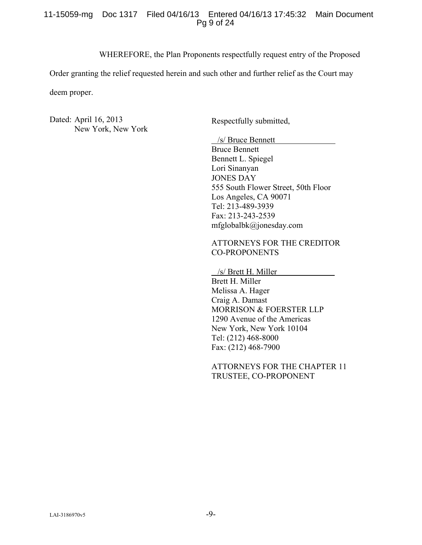#### 11-15059-mg Doc 1317 Filed 04/16/13 Entered 04/16/13 17:45:32 Main Document Pg 9 of 24

WHEREFORE, the Plan Proponents respectfully request entry of the Proposed

Order granting the relief requested herein and such other and further relief as the Court may

deem proper.

Dated: April 16, 2013 New York, New York

Respectfully submitted,

/s/ Bruce Bennett

Bruce Bennett Bennett L. Spiegel Lori Sinanyan JONES DAY 555 South Flower Street, 50th Floor Los Angeles, CA 90071 Tel: 213-489-3939 Fax: 213-243-2539 mfglobalbk@jonesday.com

## ATTORNEYS FOR THE CREDITOR CO-PROPONENTS

 /s/ Brett H. Miller Brett H. Miller Melissa A. Hager Craig A. Damast MORRISON & FOERSTER LLP 1290 Avenue of the Americas New York, New York 10104 Tel: (212) 468-8000 Fax: (212) 468-7900

ATTORNEYS FOR THE CHAPTER 11 TRUSTEE, CO-PROPONENT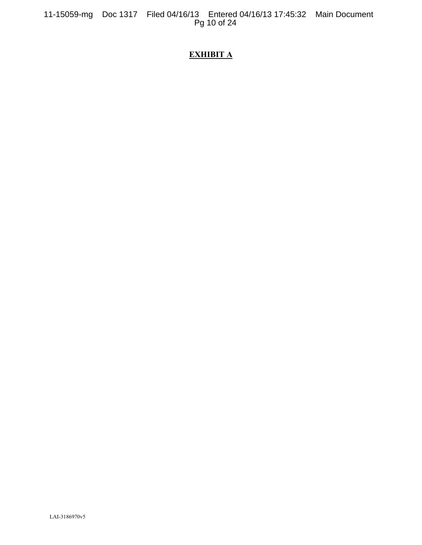11-15059-mg Doc 1317 Filed 04/16/13 Entered 04/16/13 17:45:32 Main Document Pg 10 of 24

# **EXHIBIT A**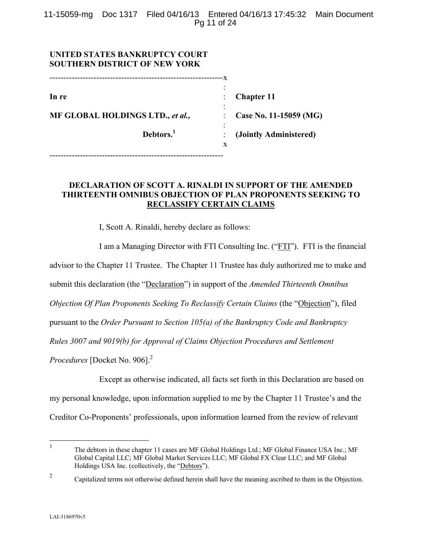11-15059-mg Doc 1317 Filed 04/16/13 Entered 04/16/13 17:45:32 Main Document Pg 11 of 24

| UNITED STATES BANKRUPTCY COURT<br><b>SOUTHERN DISTRICT OF NEW YORK</b> |                        |
|------------------------------------------------------------------------|------------------------|
|                                                                        | -x                     |
| In re                                                                  | <b>Chapter 11</b>      |
| MF GLOBAL HOLDINGS LTD., et al.,                                       | Case No. 11-15059 (MG) |
| Debtors. <sup>1</sup>                                                  | (Jointly Administered) |
|                                                                        | X                      |

# **DECLARATION OF SCOTT A. RINALDI IN SUPPORT OF THE AMENDED THIRTEENTH OMNIBUS OBJECTION OF PLAN PROPONENTS SEEKING TO RECLASSIFY CERTAIN CLAIMS**

I, Scott A. Rinaldi, hereby declare as follows:

I am a Managing Director with FTI Consulting Inc. ("FTI"). FTI is the financial advisor to the Chapter 11 Trustee. The Chapter 11 Trustee has duly authorized me to make and submit this declaration (the "Declaration") in support of the *Amended Thirteenth Omnibus Objection Of Plan Proponents Seeking To Reclassify Certain Claims (the "Objection"), filed* pursuant to the *Order Pursuant to Section 105(a) of the Bankruptcy Code and Bankruptcy Rules 3007 and 9019(b) for Approval of Claims Objection Procedures and Settlement Procedures* [Docket No. 906].<sup>2</sup>

Except as otherwise indicated, all facts set forth in this Declaration are based on my personal knowledge, upon information supplied to me by the Chapter 11 Trustee's and the Creditor Co-Proponents' professionals, upon information learned from the review of relevant

 $\frac{1}{1}$  The debtors in these chapter 11 cases are MF Global Holdings Ltd.; MF Global Finance USA Inc.; MF Global Capital LLC; MF Global Market Services LLC; MF Global FX Clear LLC; and MF Global Holdings USA Inc. (collectively, the "Debtors").

<sup>2</sup> Capitalized terms not otherwise defined herein shall have the meaning ascribed to them in the Objection.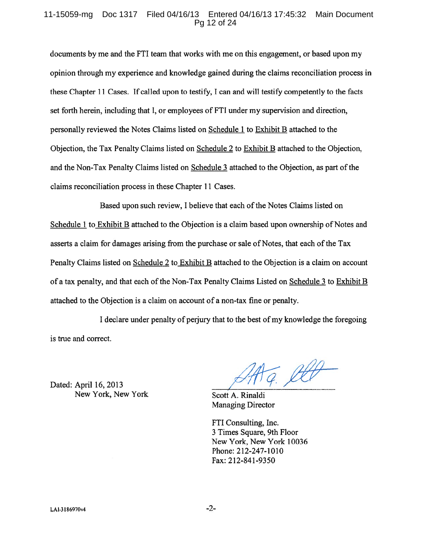#### 11-15059-mg Doc 1317 Filed 04/16/13 Entered 04/16/13 17:45:32 Main Document Pg 12 of 24

documents by me and the FTI team that works with me on this engagement, or based upon my opinion through my experience and knowledge gained during the claims reconciliation process in these Chapter 11 Cases. If called upon to testify, I can and will testify competently to the facts set forth herein, including that I, or employees of FTI under my supervision and direction, personally reviewed the Notes Claims listed on Schedule 1 to Exhibit B attached to the Objection, the Tax Penalty Claims listed on Schedule 2 to Exhibit B attached to the Objection, and the Non-Tax Penalty Claims listed on Schedule 3 attached to the Objection, as part of the claims reconciliation process in these Chapter 11 Cases.

Based upon such review, I believe that each of the Notes Claims listed on Schedule 1 to Exhibit B attached to the Objection is a claim based upon ownership of Notes and asserts a claim for damages arising from the purchase or sale of Notes, that each of the Tax Penalty Claims listed on Schedule 2 to Exhibit B attached to the Objection is a claim on account of a tax penalty, and that each of the Non-Tax Penalty Claims Listed on Schedule 3 to Exhibit B attached to the Objection is a claim on account of a non-tax fine or penalty.

I declare under penalty of perjury that to the best of my knowledge the foregoing is true and correct.

Dated: April 16, 2013 New York, New York

G. lett

Scott A. Rinaldi **Managing Director** 

FTI Consulting, Inc. 3 Times Square, 9th Floor New York, New York 10036 Phone: 212-247-1010 Fax: 212-841-9350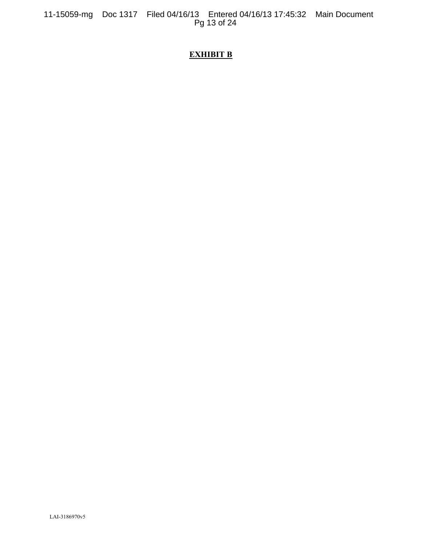11-15059-mg Doc 1317 Filed 04/16/13 Entered 04/16/13 17:45:32 Main Document Pg 13 of 24

# **EXHIBIT B**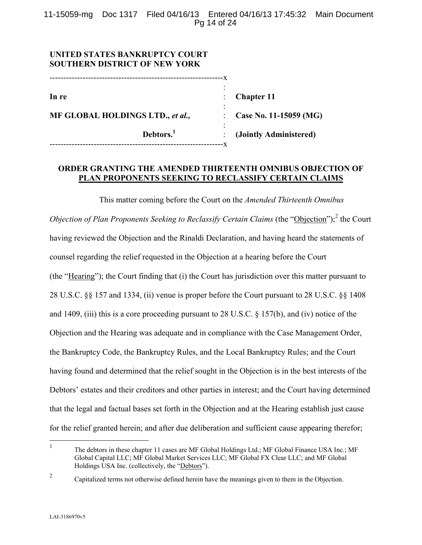11-15059-mg Doc 1317 Filed 04/16/13 Entered 04/16/13 17:45:32 Main Document Pg 14 of 24

| UNITED STATES BANKRUPTCY COURT<br><b>SOUTHERN DISTRICT OF NEW YORK</b> |                        |
|------------------------------------------------------------------------|------------------------|
| In re                                                                  | <b>Chapter 11</b>      |
| MF GLOBAL HOLDINGS LTD., et al.,                                       | Case No. 11-15059 (MG) |
| Debtors. <sup>1</sup><br>--------------------------                    | (Jointly Administered) |

## **ORDER GRANTING THE AMENDED THIRTEENTH OMNIBUS OBJECTION OF PLAN PROPONENTS SEEKING TO RECLASSIFY CERTAIN CLAIMS**

This matter coming before the Court on the *Amended Thirteenth Omnibus Objection of Plan Proponents Seeking to Reclassify Certain Claims* (the "Objection");<sup>2</sup> the Court having reviewed the Objection and the Rinaldi Declaration, and having heard the statements of counsel regarding the relief requested in the Objection at a hearing before the Court (the "Hearing"); the Court finding that (i) the Court has jurisdiction over this matter pursuant to 28 U.S.C. §§ 157 and 1334, (ii) venue is proper before the Court pursuant to 28 U.S.C. §§ 1408 and 1409, (iii) this is a core proceeding pursuant to 28 U.S.C. § 157(b), and (iv) notice of the Objection and the Hearing was adequate and in compliance with the Case Management Order, the Bankruptcy Code, the Bankruptcy Rules, and the Local Bankruptcy Rules; and the Court having found and determined that the relief sought in the Objection is in the best interests of the Debtors' estates and their creditors and other parties in interest; and the Court having determined that the legal and factual bases set forth in the Objection and at the Hearing establish just cause for the relief granted herein; and after due deliberation and sufficient cause appearing therefor;

 $\frac{1}{1}$  The debtors in these chapter 11 cases are MF Global Holdings Ltd.; MF Global Finance USA Inc.; MF Global Capital LLC; MF Global Market Services LLC; MF Global FX Clear LLC; and MF Global Holdings USA Inc. (collectively, the "Debtors").

<sup>2</sup> Capitalized terms not otherwise defined herein have the meanings given to them in the Objection.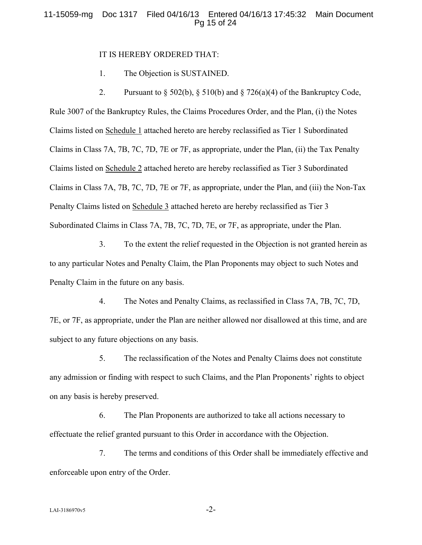#### 11-15059-mg Doc 1317 Filed 04/16/13 Entered 04/16/13 17:45:32 Main Document Pg 15 of 24

#### IT IS HEREBY ORDERED THAT:

1. The Objection is SUSTAINED.

2. Pursuant to  $\S 502(b)$ ,  $\S 510(b)$  and  $\S 726(a)(4)$  of the Bankruptcy Code, Rule 3007 of the Bankruptcy Rules, the Claims Procedures Order, and the Plan, (i) the Notes Claims listed on Schedule 1 attached hereto are hereby reclassified as Tier 1 Subordinated Claims in Class 7A, 7B, 7C, 7D, 7E or 7F, as appropriate, under the Plan, (ii) the Tax Penalty Claims listed on Schedule 2 attached hereto are hereby reclassified as Tier 3 Subordinated Claims in Class 7A, 7B, 7C, 7D, 7E or 7F, as appropriate, under the Plan, and (iii) the Non-Tax Penalty Claims listed on Schedule 3 attached hereto are hereby reclassified as Tier 3 Subordinated Claims in Class 7A, 7B, 7C, 7D, 7E, or 7F, as appropriate, under the Plan.

3. To the extent the relief requested in the Objection is not granted herein as to any particular Notes and Penalty Claim, the Plan Proponents may object to such Notes and Penalty Claim in the future on any basis.

4. The Notes and Penalty Claims, as reclassified in Class 7A, 7B, 7C, 7D, 7E, or 7F, as appropriate, under the Plan are neither allowed nor disallowed at this time, and are subject to any future objections on any basis.

5. The reclassification of the Notes and Penalty Claims does not constitute any admission or finding with respect to such Claims, and the Plan Proponents' rights to object on any basis is hereby preserved.

6. The Plan Proponents are authorized to take all actions necessary to effectuate the relief granted pursuant to this Order in accordance with the Objection.

7. The terms and conditions of this Order shall be immediately effective and enforceable upon entry of the Order.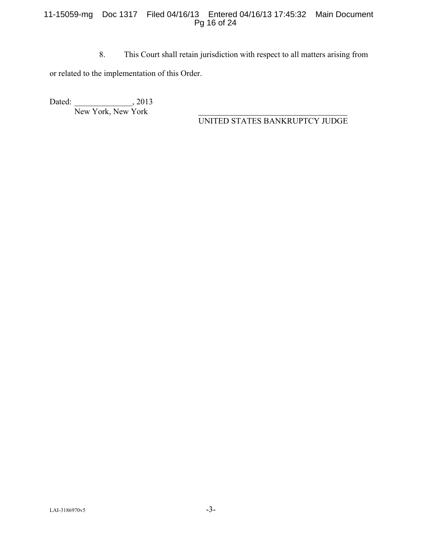## 11-15059-mg Doc 1317 Filed 04/16/13 Entered 04/16/13 17:45:32 Main Document Pg 16 of 24

8. This Court shall retain jurisdiction with respect to all matters arising from

or related to the implementation of this Order.

Dated: \_\_\_\_\_\_\_\_\_\_\_\_\_\_\_, 2013 New York, New York

UNITED STATES BANKRUPTCY JUDGE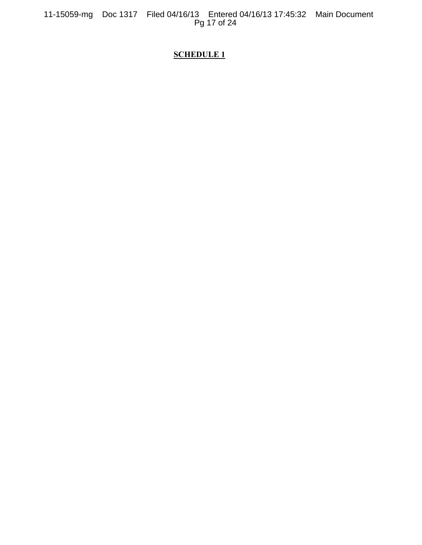11-15059-mg Doc 1317 Filed 04/16/13 Entered 04/16/13 17:45:32 Main Document Pg 17 of 24

# **SCHEDULE 1**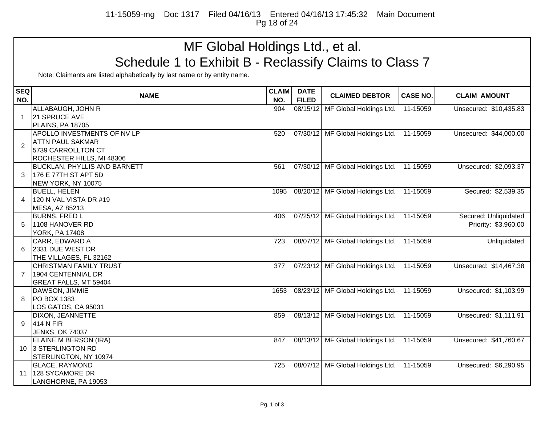11-15059-mg Doc 1317 Filed 04/16/13 Entered 04/16/13 17:45:32 Main Document Pg 18 of 24

# MF Global Holdings Ltd., et al. Schedule 1 to Exhibit B - Reclassify Claims to Class 7

| <b>SEQ</b>     |                                     | <b>CLAIM</b> | <b>DATE</b>  |                                  |                 |                        |
|----------------|-------------------------------------|--------------|--------------|----------------------------------|-----------------|------------------------|
| NO.            | <b>NAME</b>                         | NO.          | <b>FILED</b> | <b>CLAIMED DEBTOR</b>            | <b>CASE NO.</b> | <b>CLAIM AMOUNT</b>    |
|                | ALLABAUGH, JOHN R                   | 904          | 08/15/12     | MF Global Holdings Ltd.          | 11-15059        | Unsecured: \$10,435.83 |
| $\mathbf 1$    | 21 SPRUCE AVE                       |              |              |                                  |                 |                        |
|                | <b>PLAINS, PA 18705</b>             |              |              |                                  |                 |                        |
|                | APOLLO INVESTMENTS OF NV LP         | 520          |              | 07/30/12 MF Global Holdings Ltd. | 11-15059        | Unsecured: \$44,000.00 |
| $\overline{2}$ | <b>ATTN PAUL SAKMAR</b>             |              |              |                                  |                 |                        |
|                | 5739 CARROLLTON CT                  |              |              |                                  |                 |                        |
|                | ROCHESTER HILLS, MI 48306           |              |              |                                  |                 |                        |
|                | <b>BUCKLAN, PHYLLIS AND BARNETT</b> | 561          |              | 07/30/12 MF Global Holdings Ltd. | 11-15059        | Unsecured: \$2,093.37  |
| 3              | 176 E 77TH ST APT 5D                |              |              |                                  |                 |                        |
|                | NEW YORK, NY 10075                  |              |              |                                  |                 |                        |
|                | <b>BUELL, HELEN</b>                 | 1095         |              | 08/20/12 MF Global Holdings Ltd. | 11-15059        | Secured: \$2,539.35    |
| 4              | 120 N VAL VISTA DR #19              |              |              |                                  |                 |                        |
|                | MESA, AZ 85213                      |              |              |                                  |                 |                        |
|                | <b>BURNS, FRED L</b>                | 406          |              | 07/25/12 MF Global Holdings Ltd. | 11-15059        | Secured: Unliquidated  |
|                | 1108 HANOVER RD                     |              |              |                                  |                 | Priority: \$3,960.00   |
|                | <b>YORK, PA 17408</b>               |              |              |                                  |                 |                        |
|                | CARR, EDWARD A                      | 723          |              | 08/07/12 MF Global Holdings Ltd. | 11-15059        | Unliquidated           |
|                | 2331 DUE WEST DR                    |              |              |                                  |                 |                        |
|                | THE VILLAGES, FL 32162              |              |              |                                  |                 |                        |
|                | <b>CHRISTMAN FAMILY TRUST</b>       | 377          |              | 07/23/12 MF Global Holdings Ltd. | 11-15059        | Unsecured: \$14,467.38 |
|                | 1904 CENTENNIAL DR                  |              |              |                                  |                 |                        |
|                | GREAT FALLS, MT 59404               |              |              |                                  |                 |                        |
|                | DAWSON, JIMMIE                      | 1653         |              | 08/23/12 MF Global Holdings Ltd. | 11-15059        | Unsecured: \$1,103.99  |
| 8              | PO BOX 1383                         |              |              |                                  |                 |                        |
|                | LOS GATOS, CA 95031                 |              |              |                                  |                 |                        |
|                | DIXON, JEANNETTE                    | 859          |              | 08/13/12 MF Global Holdings Ltd. | 11-15059        | Unsecured: \$1,111.91  |
| 9              | 414 N FIR                           |              |              |                                  |                 |                        |
|                | <b>JENKS, OK 74037</b>              |              |              |                                  |                 |                        |
|                | ELAINE M BERSON (IRA)               | 847          |              | 08/13/12 MF Global Holdings Ltd. | 11-15059        | Unsecured: \$41,760.67 |
|                | 10 3 STERLINGTON RD                 |              |              |                                  |                 |                        |
|                | STERLINGTON, NY 10974               |              |              |                                  |                 |                        |
|                | <b>GLACE, RAYMOND</b>               | 725          |              | 08/07/12 MF Global Holdings Ltd. | 11-15059        | Unsecured: \$6,290.95  |
| 11             | 128 SYCAMORE DR                     |              |              |                                  |                 |                        |
|                | LANGHORNE, PA 19053                 |              |              |                                  |                 |                        |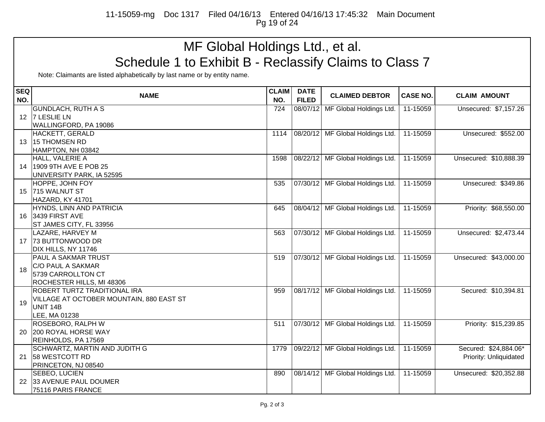11-15059-mg Doc 1317 Filed 04/16/13 Entered 04/16/13 17:45:32 Main Document Pg 19 of 24

# MF Global Holdings Ltd., et al. Schedule 1 to Exhibit B - Reclassify Claims to Class 7

| <b>SEQ</b> |                                           | <b>CLAIM</b> | <b>DATE</b>  |                                  |                 |                        |
|------------|-------------------------------------------|--------------|--------------|----------------------------------|-----------------|------------------------|
| NO.        | <b>NAME</b>                               | NO.          | <b>FILED</b> | <b>CLAIMED DEBTOR</b>            | <b>CASE NO.</b> | <b>CLAIM AMOUNT</b>    |
|            | <b>GUNDLACH, RUTH A S</b>                 | 724          | 08/07/12     | MF Global Holdings Ltd.          | 11-15059        | Unsecured: \$7,157.26  |
|            | 12 7 LESLIE LN                            |              |              |                                  |                 |                        |
|            | WALLINGFORD, PA 19086                     |              |              |                                  |                 |                        |
|            | HACKETT, GERALD                           | 1114         |              | 08/20/12 MF Global Holdings Ltd. | 11-15059        | Unsecured: \$552.00    |
| 13         | 15 THOMSEN RD                             |              |              |                                  |                 |                        |
|            | HAMPTON, NH 03842                         |              |              |                                  |                 |                        |
|            | HALL, VALERIE A                           | 1598         |              | 08/22/12 MF Global Holdings Ltd. | 11-15059        | Unsecured: \$10,888.39 |
| 14         | 1909 9TH AVE E POB 25                     |              |              |                                  |                 |                        |
|            | UNIVERSITY PARK, IA 52595                 |              |              |                                  |                 |                        |
|            | HOPPE, JOHN FOY                           | 535          |              | 07/30/12 MF Global Holdings Ltd. | 11-15059        | Unsecured: \$349.86    |
| 15         | 715 WALNUT ST                             |              |              |                                  |                 |                        |
|            | HAZARD, KY 41701                          |              |              |                                  |                 |                        |
|            | HYNDS, LINN AND PATRICIA                  | 645          |              | 08/04/12 MF Global Holdings Ltd. | 11-15059        | Priority: \$68,550.00  |
| 16         | 3439 FIRST AVE                            |              |              |                                  |                 |                        |
|            | ST JAMES CITY, FL 33956                   |              |              |                                  |                 |                        |
|            | LAZARE, HARVEY M                          | 563          |              | 07/30/12 MF Global Holdings Ltd. | 11-15059        | Unsecured: \$2,473.44  |
| 17         | 73 BUTTONWOOD DR                          |              |              |                                  |                 |                        |
|            | DIX HILLS, NY 11746                       |              |              |                                  |                 |                        |
|            | <b>PAUL A SAKMAR TRUST</b>                | 519          |              | 07/30/12 MF Global Holdings Ltd. | 11-15059        | Unsecured: \$43,000.00 |
| 18         | C/O PAUL A SAKMAR                         |              |              |                                  |                 |                        |
|            | 5739 CARROLLTON CT                        |              |              |                                  |                 |                        |
|            | ROCHESTER HILLS, MI 48306                 |              |              |                                  |                 |                        |
|            | ROBERT TURTZ TRADITIONAL IRA              | 959          |              | 08/17/12 MF Global Holdings Ltd. | 11-15059        | Secured: \$10,394.81   |
| 19         | VILLAGE AT OCTOBER MOUNTAIN, 880 EAST ST  |              |              |                                  |                 |                        |
|            | UNIT 14B                                  |              |              |                                  |                 |                        |
|            | LEE, MA 01238<br><b>ROSEBORO, RALPH W</b> | 511          |              | 07/30/12 MF Global Holdings Ltd. | 11-15059        | Priority: \$15,239.85  |
| 20         | 200 ROYAL HORSE WAY                       |              |              |                                  |                 |                        |
|            | REINHOLDS, PA 17569                       |              |              |                                  |                 |                        |
|            | SCHWARTZ, MARTIN AND JUDITH G             | 1779         |              | 09/22/12 MF Global Holdings Ltd. | 11-15059        | Secured: \$24,884.06*  |
| 21         | 58 WESTCOTT RD                            |              |              |                                  |                 | Priority: Unliquidated |
|            | PRINCETON, NJ 08540                       |              |              |                                  |                 |                        |
|            | SEBEO, LUCIEN                             | 890          |              | 08/14/12 MF Global Holdings Ltd. | 11-15059        | Unsecured: \$20,352.88 |
| 22         | 33 AVENUE PAUL DOUMER                     |              |              |                                  |                 |                        |
|            | 75116 PARIS FRANCE                        |              |              |                                  |                 |                        |
|            |                                           |              |              |                                  |                 |                        |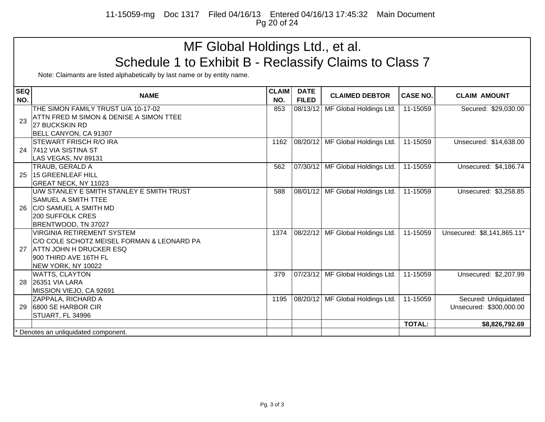11-15059-mg Doc 1317 Filed 04/16/13 Entered 04/16/13 17:45:32 Main Document Pg 20 of 24

# MF Global Holdings Ltd., et al. Schedule 1 to Exhibit B - Reclassify Claims to Class 7

| <b>SEQ</b><br>NO. | <b>NAME</b>                                                                                                                                               | <b>CLAIM</b><br>NO. | <b>DATE</b><br><b>FILED</b> | <b>CLAIMED DEBTOR</b>            | <b>CASE NO.</b> | <b>CLAIM AMOUNT</b>                              |
|-------------------|-----------------------------------------------------------------------------------------------------------------------------------------------------------|---------------------|-----------------------------|----------------------------------|-----------------|--------------------------------------------------|
| 23                | THE SIMON FAMILY TRUST U/A 10-17-02<br>ATTN FRED M SIMON & DENISE A SIMON TTEE<br><b>27 BUCKSKIN RD</b><br>BELL CANYON, CA 91307                          | 853                 | 08/13/12                    | MF Global Holdings Ltd.          | 11-15059        | Secured: \$29,030.00                             |
|                   | <b>ISTEWART FRISCH R/O IRA</b><br>24 7412 VIA SISTINA ST<br>LAS VEGAS, NV 89131                                                                           | 1162                |                             | 08/20/12 MF Global Holdings Ltd. | 11-15059        | Unsecured: \$14,638.00                           |
| 25                | <b>TRAUB, GERALD A</b><br>15 GREENLEAF HILL<br><b>GREAT NECK, NY 11023</b>                                                                                | 562                 |                             | 07/30/12 MF Global Holdings Ltd. | 11-15059        | Unsecured: \$4,186.74                            |
| 26                | U/W STANLEY E SMITH STANLEY E SMITH TRUST<br><b>SAMUEL A SMITH TTEE</b><br><b>C/O SAMUEL A SMITH MD</b><br>200 SUFFOLK CRES<br>BRENTWOOD, TN 37027        | 588                 |                             | 08/01/12 MF Global Holdings Ltd. | 11-15059        | Unsecured: \$3,258.85                            |
| 27                | VIRGINIA RETIREMENT SYSTEM<br>C/O COLE SCHOTZ MEISEL FORMAN & LEONARD PA<br><b>ATTN JOHN H DRUCKER ESQ</b><br>900 THIRD AVE 16TH FL<br>NEW YORK, NY 10022 | 1374                |                             | 08/22/12 MF Global Holdings Ltd. | 11-15059        | Unsecured: \$8,141,865.11*                       |
| 28                | <b>WATTS, CLAYTON</b><br><b>26351 VIA LARA</b><br>MISSION VIEJO, CA 92691                                                                                 | 379                 |                             | 07/23/12 MF Global Holdings Ltd. | 11-15059        | Unsecured: \$2,207.99                            |
| 29                | ZAPPALA, RICHARD A<br>6800 SE HARBOR CIR<br>STUART, FL 34996                                                                                              | 1195                | 08/20/12                    | MF Global Holdings Ltd.          | 11-15059        | Secured: Unliquidated<br>Unsecured: \$300,000.00 |
|                   |                                                                                                                                                           |                     |                             |                                  | <b>TOTAL:</b>   | \$8,826,792.69                                   |
|                   | Denotes an unliquidated component.                                                                                                                        |                     |                             |                                  |                 |                                                  |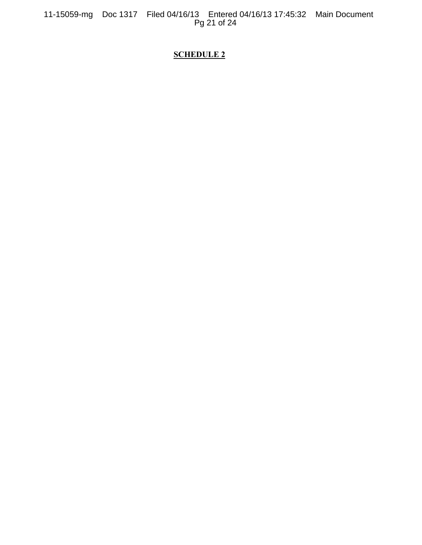11-15059-mg Doc 1317 Filed 04/16/13 Entered 04/16/13 17:45:32 Main Document Pg 21 of 24

# **SCHEDULE 2**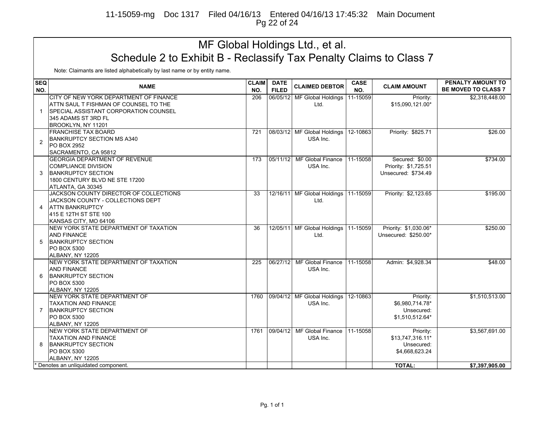11-15059-mg Doc 1317 Filed 04/16/13 Entered 04/16/13 17:45:32 Main Document Pg 22 of 24

# MF Global Holdings Ltd., et al. Schedule 2 to Exhibit B - Reclassify Tax Penalty Claims to Class 7

| <b>SEQ</b><br>NO. | <b>NAME</b>                                                                                                                                          | <b>CLAIM</b><br>NO. | <b>DATE</b><br><b>FILED</b> | <b>CLAIMED DEBTOR</b>                          | <b>CASE</b><br>NO. | <b>CLAIM AMOUNT</b>                                           | PENALTY AMOUNT TO<br><b>BE MOVED TO CLASS 7</b> |
|-------------------|------------------------------------------------------------------------------------------------------------------------------------------------------|---------------------|-----------------------------|------------------------------------------------|--------------------|---------------------------------------------------------------|-------------------------------------------------|
| 1                 | CITY OF NEW YORK DEPARTMENT OF FINANCE<br>ATTN SAUL T FISHMAN OF COUNSEL TO THE<br><b>SPECIAL ASSISTANT CORPORATION COUNSEL</b>                      | 206                 | 06/05/12                    | MF Global Holdings<br>Ltd.                     | 11-15059           | Priority:<br>\$15,090,121.00*                                 | \$2,318,448.00                                  |
|                   | 345 ADAMS ST 3RD FL<br>BROOKLYN, NY 11201                                                                                                            |                     |                             |                                                |                    |                                                               |                                                 |
| 2                 | <b>FRANCHISE TAX BOARD</b><br><b>BANKRUPTCY SECTION MS A340</b><br>PO BOX 2952                                                                       | 721                 |                             | 08/03/12 MF Global Holdings<br>USA Inc.        | 12-10863           | Priority: \$825.71                                            | \$26.00                                         |
|                   | SACRAMENTO, CA 95812<br><b>GEORGIA DEPARTMENT OF REVENUE</b>                                                                                         | 173                 | 05/11/12                    | MF Global Finance                              | 11-15058           | Secured: \$0.00                                               | \$734.00                                        |
| 3                 | <b>COMPLIANCE DIVISION</b><br><b>BANKRUPTCY SECTION</b><br>1800 CENTURY BLVD NE STE 17200                                                            |                     |                             | USA Inc.                                       |                    | Priority: \$1,725.51<br>Unsecured: \$734.49                   |                                                 |
| 4                 | ATLANTA, GA 30345<br>JACKSON COUNTY DIRECTOR OF COLLECTIONS<br>JACKSON COUNTY - COLLECTIONS DEPT<br><b>ATTN BANKRUPTCY</b><br>415 E 12TH ST STE 100  | $\overline{33}$     |                             | 12/16/11 MF Global Holdings 11-15059<br>Ltd.   |                    | Priority: \$2,123.65                                          | \$195.00                                        |
| 5                 | KANSAS CITY, MO 64106<br>NEW YORK STATE DEPARTMENT OF TAXATION<br><b>AND FINANCE</b><br><b>BANKRUPTCY SECTION</b><br>PO BOX 5300<br>ALBANY, NY 12205 | 36                  |                             | 12/05/11 MF Global Holdings   11-15059<br>Ltd. |                    | Priority: \$1,030.06*<br>Unsecured: \$250.00*                 | \$250.00                                        |
| 6                 | NEW YORK STATE DEPARTMENT OF TAXATION<br><b>AND FINANCE</b><br><b>BANKRUPTCY SECTION</b><br>PO BOX 5300<br>ALBANY, NY 12205                          | 225                 | 06/27/12                    | MF Global Finance<br>USA Inc.                  | 11-15058           | Admin: \$4,928.34                                             | \$48.00                                         |
| 7                 | NEW YORK STATE DEPARTMENT OF<br><b>TAXATION AND FINANCE</b><br><b>BANKRUPTCY SECTION</b><br>PO BOX 5300<br>ALBANY, NY 12205                          | 1760                |                             | 09/04/12 MF Global Holdings<br>USA Inc.        | 12-10863           | Priority:<br>\$6,980,714.78*<br>Unsecured:<br>\$1,510,512.64* | \$1,510,513.00                                  |
| 8                 | NEW YORK STATE DEPARTMENT OF<br><b>TAXATION AND FINANCE</b><br><b>BANKRUPTCY SECTION</b><br>PO BOX 5300<br>ALBANY, NY 12205                          | 1761                | 09/04/12                    | MF Global Finance<br>USA Inc.                  | 11-15058           | Priority:<br>\$13,747,316.11*<br>Unsecured:<br>\$4,668,623.24 | \$3,567,691.00                                  |
|                   | * Denotes an unliquidated component.                                                                                                                 |                     |                             |                                                |                    | <b>TOTAL:</b>                                                 | \$7,397,905.00                                  |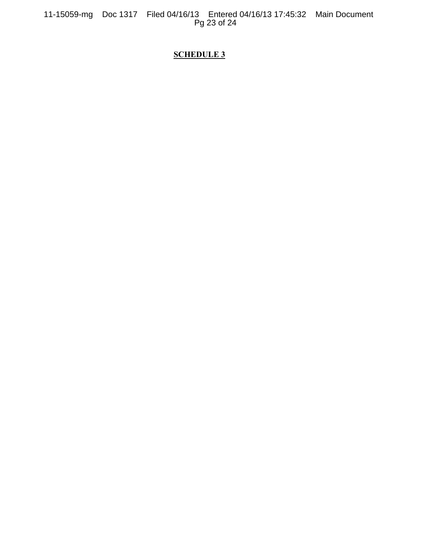11-15059-mg Doc 1317 Filed 04/16/13 Entered 04/16/13 17:45:32 Main Document Pg 23 of 24

# **SCHEDULE 3**